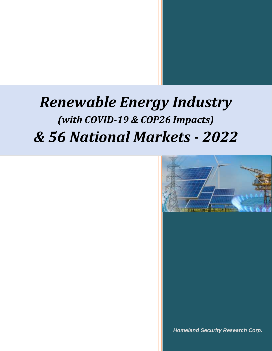

*Homeland Security Research Corp.*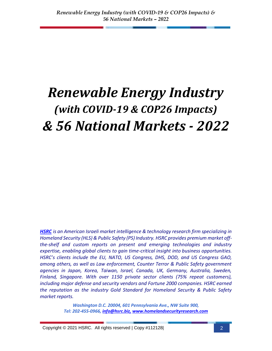*[HSRC](http://www.homelandsecurityresearch.com/) is an American Israeli market intelligence & technology research firm specializing in Homeland Security (HLS) & Public Safety (PS) Industry. HSRC provides premium market offthe-shelf and custom reports on present and emerging technologies and industry expertise, enabling global clients to gain time-critical insight into business opportunities. HSRC's clients include the EU, NATO, US Congress, DHS, DOD, and US Congress GAO, among others, as well as Law enforcement, Counter Terror & Public Safety government agencies in Japan, Korea, Taiwan, Israel, Canada, UK, Germany, Australia, Sweden, Finland, Singapore. With over 1150 private sector clients (75% repeat customers), including major defense and security vendors and Fortune 2000 companies. HSRC earned the reputation as the industry Gold Standard for Homeland Security & Public Safety market reports.*

> *Washington D.C. 20004, 601 Pennsylvania Ave., NW Suite 900, Tel: 202-455-0966, [info@hsrc.biz,](mailto:info@hsrc.biz) [www.homelandsecurityresearch.com](http://www.homelandsecurityresearch.com/)*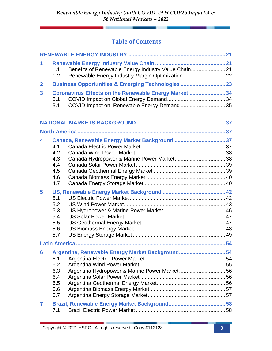#### **Table of Contents**

| 1              | 1.1<br>1.2                                    | Benefits of Renewable Energy Industry Value Chain21<br>Renewable Energy Industry Margin Optimization 22 |  |
|----------------|-----------------------------------------------|---------------------------------------------------------------------------------------------------------|--|
| $\overline{2}$ |                                               | <b>Business Opportunities &amp; Emerging Technologies  23</b>                                           |  |
| 3              | 3.1<br>3.1                                    | Coronavirus Effects on the Renewable Energy Market 34<br>COVID Impact on Renewable Energy Demand35      |  |
|                |                                               |                                                                                                         |  |
|                |                                               |                                                                                                         |  |
| 4              | 4.1<br>4.2<br>4.3<br>4.4<br>4.5<br>4.6<br>4.7 | Canada, Renewable Energy Market Background 37                                                           |  |
| 5              | 5.1<br>5.2<br>5.3<br>5.4<br>5.5<br>5.6<br>5.7 |                                                                                                         |  |
|                |                                               |                                                                                                         |  |
| 6              | 6.1<br>6.2<br>6.3<br>6.4<br>6.5<br>6.6<br>6.7 | Argentina, Renewable Energy Market Background54<br>Argentina Hydropower & Marine Power Market56         |  |
| $\overline{7}$ | 7.1                                           |                                                                                                         |  |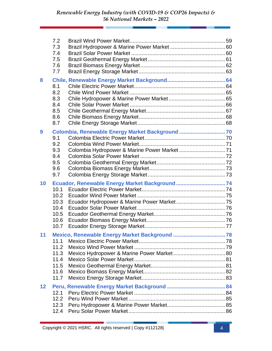|                 | 7.2<br>7.3<br>7.4<br>7.5<br>7.6<br>7.7               |                                                |  |
|-----------------|------------------------------------------------------|------------------------------------------------|--|
| 8               | 8.1<br>8.2<br>8.3<br>8.4<br>8.5<br>8.6<br>8.7        |                                                |  |
| 9               | 9.1<br>9.2<br>9.3<br>9.4<br>9.5<br>9.6<br>9.7        | Colombia, Renewable Energy Market Background70 |  |
| 10              | 10.1<br>10.2<br>10.3<br>10.4<br>10.5<br>10.6<br>10.7 | Ecuador, Renewable Energy Market Background 74 |  |
| 11 <sup>1</sup> | 11.1<br>11.2<br>11.3<br>11.4<br>11.5<br>11.6<br>11.7 |                                                |  |
| 12              | 12.1<br>12.2<br>12.3<br>12.4                         |                                                |  |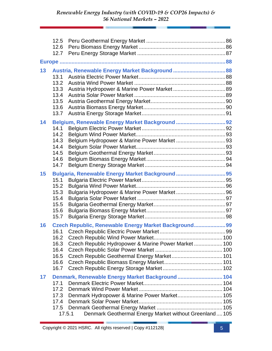|    | 12.6<br>12.7 |                                                        |  |
|----|--------------|--------------------------------------------------------|--|
|    |              |                                                        |  |
| 13 |              |                                                        |  |
|    | 13.1         |                                                        |  |
|    | 13.2         |                                                        |  |
|    | 13.3         |                                                        |  |
|    | 13.4         |                                                        |  |
|    | 13.5         |                                                        |  |
|    | 13.6         |                                                        |  |
|    | 13.7         |                                                        |  |
| 14 |              |                                                        |  |
|    | 14.1         |                                                        |  |
|    | 14.2         |                                                        |  |
|    | 14.3         |                                                        |  |
|    | 14.4         |                                                        |  |
|    | 14.5         |                                                        |  |
|    | 14.6         |                                                        |  |
|    | 14.7         |                                                        |  |
| 15 |              |                                                        |  |
|    | 15.1         |                                                        |  |
|    | 15.2         |                                                        |  |
|    | 15.3         |                                                        |  |
|    | 15.4         |                                                        |  |
|    | 15.5         |                                                        |  |
|    | 15.6         |                                                        |  |
|    | 15.7         |                                                        |  |
| 16 |              | Czech Republic, Renewable Energy Market Background 99  |  |
|    |              |                                                        |  |
|    | 16.2         |                                                        |  |
|    | 16.3         | Czech Republic Hydropower & Marine Power Market 100    |  |
|    | 16.4         |                                                        |  |
|    | 16.5         |                                                        |  |
|    | 16.6         |                                                        |  |
|    | 16.7         |                                                        |  |
| 17 |              | Denmark, Renewable Energy Market Background  104       |  |
|    | 17.1         |                                                        |  |
|    | 17.2         |                                                        |  |
|    | 17.3         | Denmark Hydropower & Marine Power Market 105           |  |
|    | 17.4         |                                                        |  |
|    | 17.5         |                                                        |  |
|    | 17.5.1       | Denmark Geothermal Energy Market without Greenland 105 |  |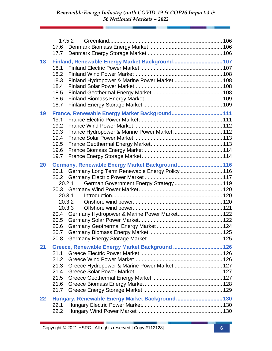|    | 17.6         | 17.5.2                                              |  |
|----|--------------|-----------------------------------------------------|--|
|    | 17.7         |                                                     |  |
| 18 | 18.1         | Finland, Renewable Energy Market Background 107     |  |
|    | 18.2         |                                                     |  |
|    | 18.3<br>18.4 | Finland Hydropower & Marine Power Market  108       |  |
|    | 18.5         |                                                     |  |
|    | 18.6         |                                                     |  |
|    | 18.7         |                                                     |  |
| 19 |              | France, Renewable Energy Market Background 111      |  |
|    | 19.1         |                                                     |  |
|    | 19.2         |                                                     |  |
|    | 19.3<br>19.4 | France Hydropower & Marine Power Market 112         |  |
|    | 19.5         |                                                     |  |
|    | 19.6         |                                                     |  |
|    | 19.7         |                                                     |  |
| 20 |              | Germany, Renewable Energy Market Background 116     |  |
|    |              | 20.1 Germany Long Term Renewable Energy Policy  116 |  |
|    |              |                                                     |  |
|    |              | German Government Energy Strategy  119<br>20.2.1    |  |
|    |              | 20.3.1                                              |  |
|    |              | 20.3.2                                              |  |
|    |              | 20.3.3                                              |  |
|    | 20.4         | Germany Hydropower & Marine Power Market 122        |  |
|    | 20.5         |                                                     |  |
|    | 20.6         |                                                     |  |
|    | 20.7         |                                                     |  |
|    | 20.8         |                                                     |  |
| 21 |              | Greece, Renewable Energy Market Background  126     |  |
|    | 21.1         |                                                     |  |
|    | 21.2<br>21.3 | Greece Hydropower & Marine Power Market  127        |  |
|    | 21.4         |                                                     |  |
|    | 21.5         |                                                     |  |
|    | 21.6         |                                                     |  |
|    | 21.7         |                                                     |  |
| 22 |              | Hungary, Renewable Energy Market Background 130     |  |
|    | 22.1         |                                                     |  |
|    | 22.2         |                                                     |  |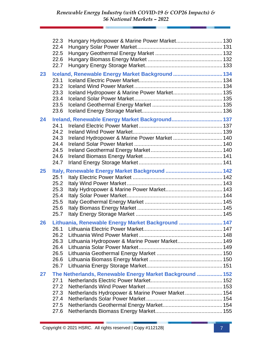|    | 22.3<br>22.4<br>22.5 | Hungary Hydropower & Marine Power Market 130             |  |
|----|----------------------|----------------------------------------------------------|--|
|    | 22.6<br>22.7         |                                                          |  |
| 23 | 23.1                 | Iceland, Renewable Energy Market Background  134         |  |
|    | 23.2<br>23.3<br>23.4 | Iceland Hydropower & Marine Power Market 135             |  |
|    | 23.5<br>23.6         |                                                          |  |
| 24 | 24.1                 | Ireland, Renewable Energy Market Background 137          |  |
|    | 24.2<br>24.3         | Ireland Hydropower & Marine Power Market  140            |  |
|    | 24.4<br>24.5         |                                                          |  |
|    | 24.6<br>24.7         |                                                          |  |
| 25 |                      |                                                          |  |
|    | 25.1                 |                                                          |  |
|    | 25.2<br>25.3         |                                                          |  |
|    | 25.4                 |                                                          |  |
|    | 25.5                 |                                                          |  |
|    | 25.6<br>25.7         |                                                          |  |
| 26 |                      | Lithuania, Renewable Energy Market Background  147       |  |
|    |                      |                                                          |  |
|    | 26.3                 |                                                          |  |
|    | 26.4                 | Lithuania Hydropower & Marine Power Market 149           |  |
|    | 26.5                 |                                                          |  |
|    | 26.6                 |                                                          |  |
|    | 26.7                 |                                                          |  |
| 27 |                      | The Netherlands, Renewable Energy Market Background  152 |  |
|    | 27.1<br>27.2         |                                                          |  |
|    | 27.3                 | Netherlands Hydropower & Marine Power Market 154         |  |
|    | 27.4                 |                                                          |  |
|    | 27.5                 |                                                          |  |
|    | 27.6                 |                                                          |  |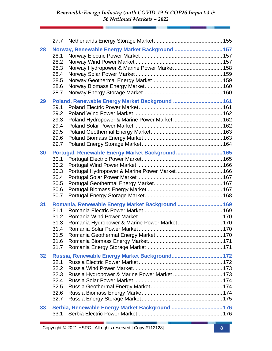| 28              | 28.1<br>28.2<br>28.3<br>28.4<br>28.5<br>28.6<br>28.7 | Norway, Renewable Energy Market Background  157<br>Norway Hydropower & Marine Power Market 158    |  |
|-----------------|------------------------------------------------------|---------------------------------------------------------------------------------------------------|--|
| 29              | 29.1<br>29.2<br>29.3<br>29.4<br>29.5<br>29.6<br>29.7 | Poland, Renewable Energy Market Background  161<br>Poland Hydropower & Marine Power Market 162    |  |
| 30              | 30.1<br>30.2<br>30.3<br>30.4<br>30.5<br>30.6<br>30.7 | Portugal, Renewable Energy Market Background 165<br>Portugal Hydropower & Marine Power Market 166 |  |
| 31              | 31.1<br>31.2<br>31.3<br>31.4<br>31.5<br>31.6<br>31.7 | Romania, Renewable Energy Market Background  169                                                  |  |
| 32 <sub>2</sub> | 32.1<br>32.2<br>32.3<br>32.4<br>32.5<br>32.6<br>32.7 | Russia Hydropower & Marine Power Market  173                                                      |  |
| 33              |                                                      | Serbia, Renewable Energy Market Background  176                                                   |  |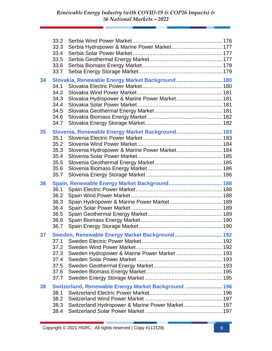|    | 33.2<br>33.3<br>33.4<br>33.5<br>33.6<br>33.7         | Serbia Hydropower & Marine Power Market 177                                                              |  |
|----|------------------------------------------------------|----------------------------------------------------------------------------------------------------------|--|
| 34 | 34.1<br>34.2<br>34.3<br>34.4<br>34.5<br>34.6<br>34.7 | Slovakia, Renewable Energy Market Background 180<br>Slovakia Hydropower & Marine Power Market 181        |  |
| 35 | 35.1<br>35.2<br>35.3<br>35.4<br>35.5<br>35.6<br>35.7 | Slovenia, Renewable Energy Market Background 183<br>Slovenia Hydropower & Marine Power Market 184        |  |
| 36 | 36.1<br>36.2<br>36.3<br>36.4<br>36.5<br>36.6<br>36.7 |                                                                                                          |  |
| 37 | 37.1<br>37.2<br>37.3<br>37.4<br>37.5<br>37.6<br>37.7 | Sweden, Renewable Energy Market Background 192<br>Sweden Hydropower & Marine Power Market  193           |  |
| 38 | 38.1<br>38.2<br>38.3<br>38.4                         | Switzerland, Renewable Energy Market Background  196<br>Switzerland Hydropower & Marine Power Market 197 |  |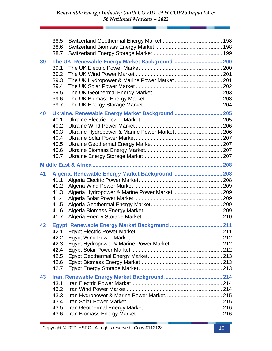|    | 38.5<br>38.6<br>38.7                                 |                                                  |  |
|----|------------------------------------------------------|--------------------------------------------------|--|
| 39 | 39.1<br>39.2<br>39.3<br>39.4<br>39.5<br>39.6<br>39.7 | The UK Hydropower & Marine Power Market 201      |  |
| 40 | 40.1<br>40.2<br>40.3<br>40.4<br>40.5<br>40.6<br>40.7 | Ukraine, Renewable Energy Market Background  205 |  |
|    |                                                      |                                                  |  |
| 41 | 41.1<br>41.2<br>41.3<br>41.4<br>41.5<br>41.6<br>41.7 | Algeria, Renewable Energy Market Background  208 |  |
| 42 | 42.2<br>42.3<br>42.4<br>42.5<br>42.6<br>42.7         |                                                  |  |
| 43 | 43.1<br>43.2<br>43.3<br>43.4<br>43.5<br>43.6         |                                                  |  |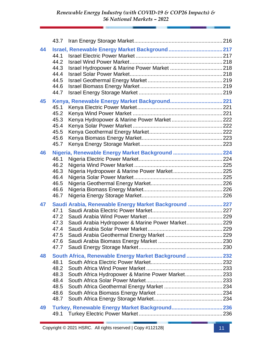|    | 43.7         |                                                       |  |
|----|--------------|-------------------------------------------------------|--|
| 44 | 44.1         |                                                       |  |
|    | 44.2         |                                                       |  |
|    | 44.3         |                                                       |  |
|    | 44.4         |                                                       |  |
|    | 44.5         |                                                       |  |
|    | 44.6         |                                                       |  |
|    | 44.7         |                                                       |  |
| 45 |              |                                                       |  |
|    | 45.1         |                                                       |  |
|    | 45.2         |                                                       |  |
|    | 45.3<br>45.4 |                                                       |  |
|    | 45.5         |                                                       |  |
|    | 45.6         |                                                       |  |
|    | 45.7         |                                                       |  |
| 46 |              | Nigeria, Renewable Energy Market Background  224      |  |
|    | 46.1         |                                                       |  |
|    | 46.2         |                                                       |  |
|    | 46.3         |                                                       |  |
|    | 46.4         |                                                       |  |
|    | 46.5         |                                                       |  |
|    | 46.6         |                                                       |  |
|    | 46.7         |                                                       |  |
| 47 |              | Saudi Arabia, Renewable Energy Market Background  227 |  |
|    | 47.1         |                                                       |  |
|    | 47.2         |                                                       |  |
|    | 47.3<br>47.4 | Saudi Arabia Hydropower & Marine Power Market229      |  |
|    | 47.5         |                                                       |  |
|    | 47.6         |                                                       |  |
|    | 47.7         |                                                       |  |
| 48 |              | South Africa, Renewable Energy Market Background  232 |  |
|    | 48.1         |                                                       |  |
|    | 48.2         |                                                       |  |
|    | 48.3         | South Africa Hydropower & Marine Power Market233      |  |
|    | 48.4         |                                                       |  |
|    | 48.5         |                                                       |  |
|    | 48.6         |                                                       |  |
|    | 48.7         |                                                       |  |
| 49 |              |                                                       |  |
|    |              |                                                       |  |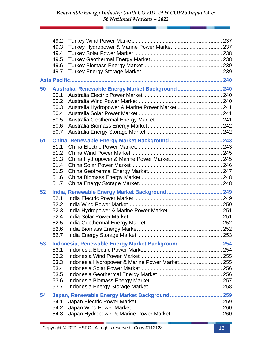|    | 49.2<br>49.3<br>49.4<br>49.5<br>49.6 |                                                    |  |
|----|--------------------------------------|----------------------------------------------------|--|
|    | 49.7                                 |                                                    |  |
|    |                                      |                                                    |  |
| 50 |                                      | Australia, Renewable Energy Market Background  240 |  |
|    | 50.1                                 |                                                    |  |
|    | 50.2                                 |                                                    |  |
|    | 50.3                                 | Australia Hydropower & Marine Power Market  241    |  |
|    | 50.4                                 |                                                    |  |
|    | 50.5                                 |                                                    |  |
|    | 50.6                                 |                                                    |  |
|    | 50.7                                 |                                                    |  |
| 51 |                                      |                                                    |  |
|    | 51.1                                 |                                                    |  |
|    | 51.2                                 |                                                    |  |
|    | 51.3                                 |                                                    |  |
|    | 51.4                                 |                                                    |  |
|    | 51.5<br>51.6                         |                                                    |  |
|    | 51.7                                 |                                                    |  |
|    |                                      |                                                    |  |
| 52 |                                      |                                                    |  |
|    | 52.1                                 |                                                    |  |
|    | 52.2                                 |                                                    |  |
|    | 52.3<br>52.4                         |                                                    |  |
|    | 52.5                                 |                                                    |  |
|    | 52.6                                 |                                                    |  |
|    | 52.7                                 |                                                    |  |
|    |                                      |                                                    |  |
| 53 |                                      | Indonesia, Renewable Energy Market Background 254  |  |
|    | 53.1<br>53.2                         |                                                    |  |
|    | 53.3                                 | Indonesia Hydropower & Marine Power Market255      |  |
|    | 53.4                                 |                                                    |  |
|    | 53.5                                 |                                                    |  |
|    | 53.6                                 |                                                    |  |
|    | 53.7                                 |                                                    |  |
| 54 |                                      | Japan, Renewable Energy Market Background 259      |  |
|    | 54.1                                 |                                                    |  |
|    | 54.2                                 |                                                    |  |
|    | 54.3                                 |                                                    |  |
|    |                                      |                                                    |  |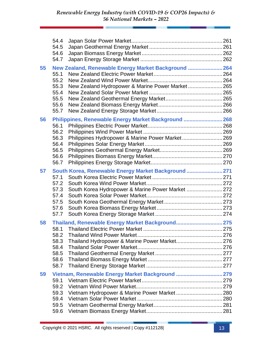|    | 54.4<br>54.5                                         |                                                                                                           |  |
|----|------------------------------------------------------|-----------------------------------------------------------------------------------------------------------|--|
|    | 54.6<br>54.7                                         |                                                                                                           |  |
| 55 | 55.1<br>55.2<br>55.3<br>55.4<br>55.5<br>55.6<br>55.7 | New Zealand, Renewable Energy Market Background  264<br>New Zealand Hydropower & Marine Power Market 265  |  |
| 56 | 56.1<br>56.2<br>56.3<br>56.4<br>56.5<br>56.6<br>56.7 | Philippines, Renewable Energy Market Background  268<br>Philippines Hydropower & Marine Power Market 269  |  |
| 57 | 57.1<br>57.2<br>57.3<br>57.4<br>57.5<br>57.6<br>57.7 | South Korea, Renewable Energy Market Background  271<br>South Korea Hydropower & Marine Power Market  272 |  |
| 58 | 58.1<br>58.2<br>58.3<br>58.4<br>58.5<br>58.6<br>58.7 | Thailand, Renewable Energy Market Background 275                                                          |  |
| 59 | 59.1<br>59.2<br>59.3<br>59.4<br>59.5<br>59.6         | Vietnam, Renewable Energy Market Background  279                                                          |  |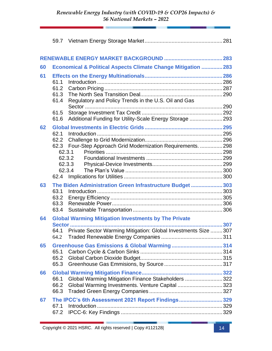| 60 |                      | Economical & Political Aspects Climate Change Mitigation  283                                          |  |
|----|----------------------|--------------------------------------------------------------------------------------------------------|--|
| 61 | 61.1                 |                                                                                                        |  |
|    | 61.2<br>61.3<br>61.4 | Regulatory and Policy Trends in the U.S. Oil and Gas                                                   |  |
|    | 61.5                 |                                                                                                        |  |
| 62 | 61.6                 | Additional Funding for Utility-Scale Energy Storage  293                                               |  |
|    | 62.1                 |                                                                                                        |  |
|    | 62.2                 |                                                                                                        |  |
|    |                      | 62.3 Four-Step Approach Grid Modernization Requirements.  298                                          |  |
|    |                      | 62.3.1                                                                                                 |  |
|    |                      | 62.3.2<br>62.3.3                                                                                       |  |
|    |                      | 62.3.4                                                                                                 |  |
|    | 62.4                 |                                                                                                        |  |
| 63 |                      | The Biden Administration Green Infrastructure Budget  303                                              |  |
|    | 63.1                 |                                                                                                        |  |
|    | 63.2                 |                                                                                                        |  |
|    | 63.3                 |                                                                                                        |  |
|    | 63.4                 |                                                                                                        |  |
| 64 |                      | <b>Global Warming Mitigation Investments by The Private</b>                                            |  |
|    |                      |                                                                                                        |  |
|    | 64.1                 | Private Sector Warming Mitigation: Global Investments Size  307                                        |  |
|    | 64.2                 |                                                                                                        |  |
| 65 |                      |                                                                                                        |  |
|    | 65.1<br>65.2         |                                                                                                        |  |
|    | 65.3                 |                                                                                                        |  |
|    |                      |                                                                                                        |  |
| 66 | 66.1                 |                                                                                                        |  |
|    | 66.2                 | Global Warming Mitigation Finance Stakeholders  322<br>Global Warming Investments. Venture Capital 323 |  |
|    | 66.3                 |                                                                                                        |  |
| 67 |                      | The IPCC's 6th Assessment 2021 Report Findings329                                                      |  |
|    | 67.1                 |                                                                                                        |  |
|    | 67.2                 |                                                                                                        |  |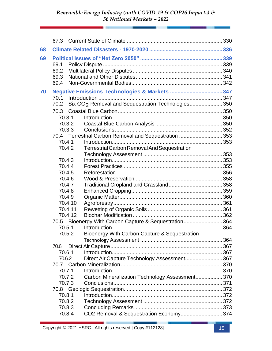| 68 |                                                                 |                  |                                                                |  |
|----|-----------------------------------------------------------------|------------------|----------------------------------------------------------------|--|
| 69 |                                                                 |                  |                                                                |  |
|    | 69.1                                                            |                  |                                                                |  |
|    | 69.2                                                            |                  |                                                                |  |
|    | 69.3                                                            |                  |                                                                |  |
|    | 69.4                                                            |                  |                                                                |  |
|    |                                                                 |                  |                                                                |  |
| 70 | 70.1                                                            |                  |                                                                |  |
|    | 70.2                                                            |                  | Six CO <sub>2</sub> Removal and Sequestration Technologies 350 |  |
|    |                                                                 |                  |                                                                |  |
|    | 70.3                                                            |                  |                                                                |  |
|    |                                                                 | 70.3.1           |                                                                |  |
|    |                                                                 | 70.3.2           |                                                                |  |
|    |                                                                 | 70.3.3           |                                                                |  |
|    |                                                                 |                  | 70.4 Terrestrial Carbon Removal and Sequestration 353          |  |
|    |                                                                 | 70.4.1           |                                                                |  |
|    |                                                                 | 70.4.2           | <b>Terrestrial Carbon Removal And Sequestration</b>            |  |
|    |                                                                 |                  |                                                                |  |
|    |                                                                 | 70.4.3           |                                                                |  |
|    |                                                                 | 70.4.4           |                                                                |  |
|    |                                                                 | 70.4.5           |                                                                |  |
|    |                                                                 | 70.4.6           |                                                                |  |
|    |                                                                 | 70.4.7<br>70.4.8 |                                                                |  |
|    |                                                                 | 70.4.9           |                                                                |  |
|    |                                                                 | 70.4.10          |                                                                |  |
|    |                                                                 | 70.4.11          |                                                                |  |
|    |                                                                 | 70.4.12          |                                                                |  |
|    |                                                                 |                  |                                                                |  |
|    | 70.5 Bioenergy With Carbon Capture & Sequestration364<br>70.5.1 |                  |                                                                |  |
|    |                                                                 | 70.5.2           | Bioenergy With Carbon Capture & Sequestration                  |  |
|    |                                                                 |                  |                                                                |  |
|    | 70.6                                                            |                  |                                                                |  |
|    |                                                                 | 70.6.1           |                                                                |  |
|    | 70.6.2                                                          |                  | Direct Air Capture Technology Assessment 367                   |  |
|    |                                                                 |                  |                                                                |  |
|    | 70.7.1                                                          |                  |                                                                |  |
|    |                                                                 | 70.7.2           | Carbon Mineralization Technology Assessment 370                |  |
|    |                                                                 |                  |                                                                |  |
|    | 70.7.3                                                          |                  |                                                                |  |
|    | 70.8.1                                                          |                  |                                                                |  |
|    |                                                                 | 70.8.2           |                                                                |  |
|    |                                                                 | 70.8.3           |                                                                |  |
|    |                                                                 | 70.8.4           | CO2 Removal & Sequestration Economy374                         |  |
|    |                                                                 |                  |                                                                |  |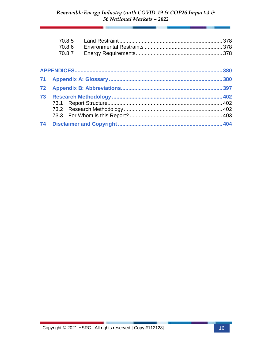|    | 70.8.5 |     |
|----|--------|-----|
|    | 70.8.6 |     |
|    | 70.8.7 |     |
|    |        |     |
|    |        | 380 |
| 71 |        | 380 |
| 72 |        |     |
| 73 |        |     |
|    |        |     |
|    |        |     |
|    |        |     |
| 74 |        |     |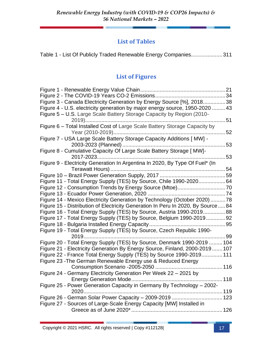#### **List of Tables**

|  |  |  |  | Table 1 - List Of Publicly Traded Renewable Energy Companies311 |  |
|--|--|--|--|-----------------------------------------------------------------|--|
|--|--|--|--|-----------------------------------------------------------------|--|

### **List of Figures**

| Figure 3 - Canada Electricity Generation by Energy Source [%], 201838           |    |
|---------------------------------------------------------------------------------|----|
| Figure 4 - U.S. electricity generation by major energy source, 1950-2020  43    |    |
| Figure 5 - U.S. Large Scale Battery Storage Capacity by Region (2010-           |    |
|                                                                                 | 51 |
| Figure 6 - Total Installed Cost of Large Scale Battery Storage Capacity by      |    |
| 52                                                                              |    |
| Figure 7 - USA Large Scale Battery Storage Capacity Additions [ MW] -           |    |
|                                                                                 |    |
| Figure 8 - Cumulative Capacity Of Large Scale Battery Storage [ MW]-            |    |
|                                                                                 | 53 |
| Figure 9 - Electricity Generation In Argentina In 2020, By Type Of Fuel* (In    |    |
|                                                                                 |    |
|                                                                                 |    |
| Figure 11 - Total Energy Supply (TES) by Source, Chile 1990-202064              |    |
|                                                                                 |    |
|                                                                                 |    |
| Figure 14 - Mexico Electricity Generation by Technology (October 2020) 78       |    |
| Figure 15 - Distribution of Electricity Generation In Peru In 2020, By Source84 |    |
| Figure 16 - Total Energy Supply (TES) by Source, Austria 1990-201988            |    |
| Figure 17 - Total Energy Supply (TES) by Source, Belgium 1990-201992            |    |
|                                                                                 |    |
| Figure 19 - Total Energy Supply (TES) by Source, Czech Republic 1990-           |    |
| 2019                                                                            |    |
| Figure 20 - Total Energy Supply (TES) by Source, Denmark 1990-2019  104         |    |
| Figure 21 - Electricity Generation By Energy Source, Finland, 2000-2019 107     |    |
| Figure 22 - France Total Energy Supply (TES) by Source 1990-2019 111            |    |
| Figure 23 - The German Renewable Energy use & Reduced Energy                    |    |
|                                                                                 |    |
| Figure 24 - Germany Electricity Generation Per Week 22 - 2021 by                |    |
| 118                                                                             |    |
| Figure 25 - Power Generation Capacity in Germany By Technology - 2002-          |    |
| 2020                                                                            |    |
| Figure 26 - German Solar Power Capacity - 2009-2019  123                        |    |
| Figure 27 - Sources of Large-Scale Energy Capacity [MW] Installed in            |    |
|                                                                                 |    |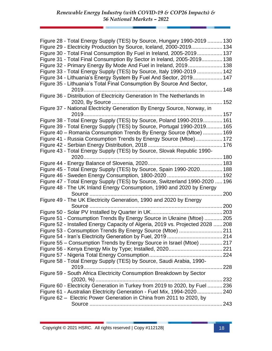| Figure 28 - Total Energy Supply (TES) by Source, Hungary 1990-2019  130        |  |
|--------------------------------------------------------------------------------|--|
| Figure 29 - Electricity Production by Source, Iceland, 2000-2019 134           |  |
| Figure 30 - Total Final Consumption By Fuel in Ireland, 2005-2019 137          |  |
| Figure 31 - Total Final Consumption By Sector in Ireland, 2005-2019 138        |  |
| Figure 32 - Primary Energy By Mode And Fuel in Ireland, 2019 138               |  |
| Figure 33 - Total Energy Supply (TES) by Source, Italy 1990-2019  142          |  |
| Figure 34 - Lithuania's Energy System By Fuel And Sector, 2019 147             |  |
| Figure 35 - Lithuania's Total Final Consumption By Source And Sector,          |  |
|                                                                                |  |
| Figure 36 - Distribution of Electricity Generation In The Netherlands In       |  |
|                                                                                |  |
| Figure 37 - National Electricity Generation By Energy Source, Norway, in       |  |
| 2019                                                                           |  |
| Figure 38 - Total Energy Supply (TES) by Source, Poland 1990-2019 161          |  |
| Figure 39 - Total Energy Supply (TES) by Source, Portugal 1990-2019 165        |  |
| Figure 40 - Romania Consumption Trends By Energy Source (Mtoe)  169            |  |
| Figure 41 - Russia Consumption Trends by Energy Source (Mtoe) 172              |  |
|                                                                                |  |
| Figure 43 - Total Energy Supply (TES) by Source, Slovak Republic 1990-         |  |
| 2020                                                                           |  |
|                                                                                |  |
| Figure 45 - Total Energy Supply (TES) by Source, Spain 1990-2020 188           |  |
|                                                                                |  |
| Figure 47 - Total Energy Supply (TES) by Source, Switzerland 1990-2020  196    |  |
| Figure 48 - The UK Inland Energy Consumption, 1990 and 2020 by Energy          |  |
| Source<br>. 200                                                                |  |
| Figure 49 - The UK Electricity Generation, 1990 and 2020 by Energy             |  |
|                                                                                |  |
|                                                                                |  |
| Figure 51 - Consumption Trends By Energy Source in Ukraine (Mtoe) 205          |  |
| Figure 52 - Installed Energy Capacity of Algeria, 2019 vs. Projected 2028  208 |  |
| Figure 53 - Consumption Trends By Energy Source (Mtoe) 211                     |  |
|                                                                                |  |
| Figure 55 - Consumption Trends by Energy Source in Israel (Mtoe) 217           |  |
|                                                                                |  |
|                                                                                |  |
| Figure 58 - Total Energy Supply (TES) by Source, Saudi Arabia, 1990-           |  |
|                                                                                |  |
| Figure 59 - South Africa Electricity Consumption Breakdown by Sector           |  |
|                                                                                |  |
| Figure 60 - Electricity Generation in Turkey from 2019 to 2020, by Fuel  236   |  |
| Figure 61 - Australian Electricity Generation - Fuel Mix, 1994-2020240         |  |
| Figure 62 – Electric Power Generation in China from 2011 to 2020, by           |  |
|                                                                                |  |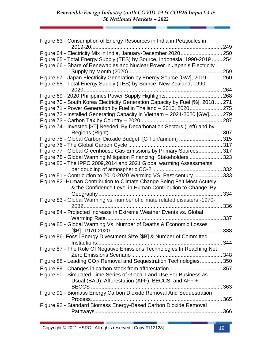| Figure 63 - Consumption of Energy Resources in India in Petajoules in                                                                            |      |
|--------------------------------------------------------------------------------------------------------------------------------------------------|------|
| 2019-20                                                                                                                                          | .249 |
| Figure 64 - Electricity Mix in India, January-December 2020250                                                                                   |      |
| Figure 65 - Total Energy Supply (TES) by Source, Indonesia, 1990-2019  254                                                                       |      |
| Figure 66 - Share of Renewables and Nuclear Power in Japan's Electricity                                                                         |      |
|                                                                                                                                                  |      |
| Figure 67 - Japan Electricity Generation by Energy Source [GW], 2019  260<br>Figure 68 - Total Energy Supply (TES) by Source, New Zealand, 1990- |      |
| 2020                                                                                                                                             | .264 |
|                                                                                                                                                  |      |
| Figure 70 - South Korea Electricity Generation Capacity by Fuel [%], 2018271                                                                     |      |
| Figure 71 - Power Generation by Fuel in Thailand - 2010, 2020                                                                                    | 275  |
| Figure 72 - Installed Generating Capacity in Vietnam - 2021-2020 [GW]279                                                                         |      |
|                                                                                                                                                  | .287 |
| Figure 74 - Invested [\$T] Needed: By Decarbonation Sectors (Left) and by                                                                        |      |
| Figure 75 - Global Carbon Dioxide Budget. [G Ton/annum] 315                                                                                      |      |
|                                                                                                                                                  |      |
| Figure 77 - Global Greenhouse Gas Emissions by Primary Sources 317                                                                               |      |
| Figure 78 - Global Warming Mitigation Financing: Stakeholders                                                                                    | 323  |
|                                                                                                                                                  |      |
| Figure 80 - The IPPC 2009,2014 and 2021 Global warming Assessments                                                                               |      |
|                                                                                                                                                  |      |
| Figure 81 - Contribution to 2010-2020 Warming VS. Past century 333                                                                               |      |
| Figure 82 - Human Contribution to Climate Change Being Felt Most Acutely                                                                         |      |
| & the Confidence Level in Human Contribution to Change. By                                                                                       |      |
|                                                                                                                                                  | 334  |
| Figure 83 - Global Warming vs. number of climate related disasters -1970-                                                                        |      |
|                                                                                                                                                  | 336  |
| Figure 84 - Projected Increase in Extreme Weather Events vs. Global                                                                              |      |
|                                                                                                                                                  | 337  |
| Figure 85 - Global Warming Vs. Number of Deaths & Economic Losses                                                                                |      |
|                                                                                                                                                  | 338  |
| Figure 86- Fossil Energy Divestment Size [\$B] & Number of Committed                                                                             |      |
|                                                                                                                                                  |      |
| Figure 87 - The Role Of Negative Emissions Technologies In Reaching Net                                                                          |      |
|                                                                                                                                                  |      |
| Figure 88 - Leading CO <sub>2</sub> Removal and Sequestration Technologies350                                                                    |      |
|                                                                                                                                                  |      |
| Figure 90 - Simulated Time Series of Global Land Use For Business as                                                                             |      |
| Usual (BAU), Afforestation (AFF), BECCS, and AFF +                                                                                               |      |
|                                                                                                                                                  |      |
| Figure 91 - Biomass Energy Carbon Dioxide Removal And Sequestration                                                                              |      |
|                                                                                                                                                  |      |
| Figure 92 - Standard Biomass Energy-Based Carbon Dioxide Removal                                                                                 |      |
|                                                                                                                                                  |      |